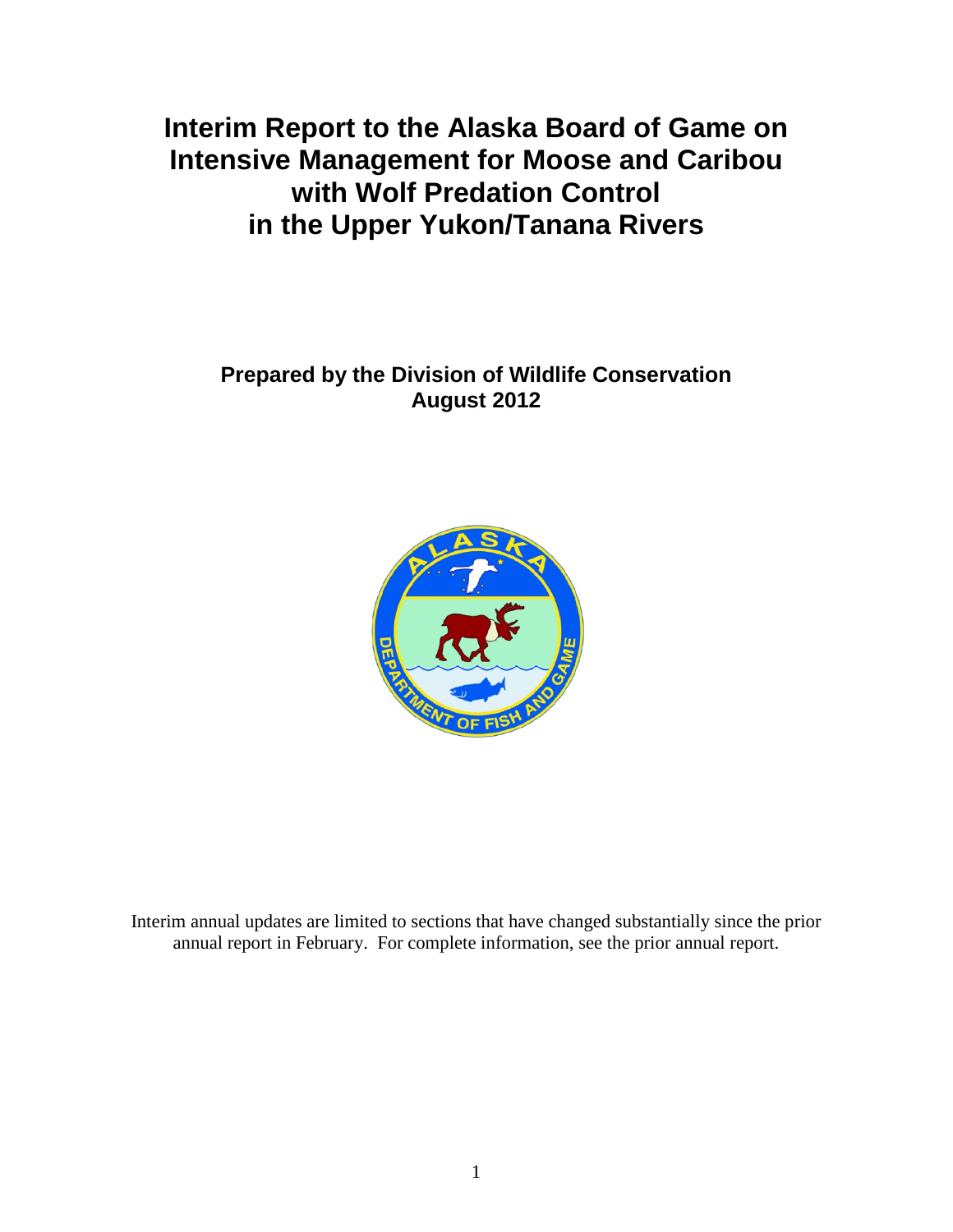**Interim Report to the Alaska Board of Game on Intensive Management for Moose and Caribou with Wolf Predation Control in the Upper Yukon/Tanana Rivers**

**Prepared by the Division of Wildlife Conservation August 2012**



Interim annual updates are limited to sections that have changed substantially since the prior annual report in February. For complete information, see the prior annual report.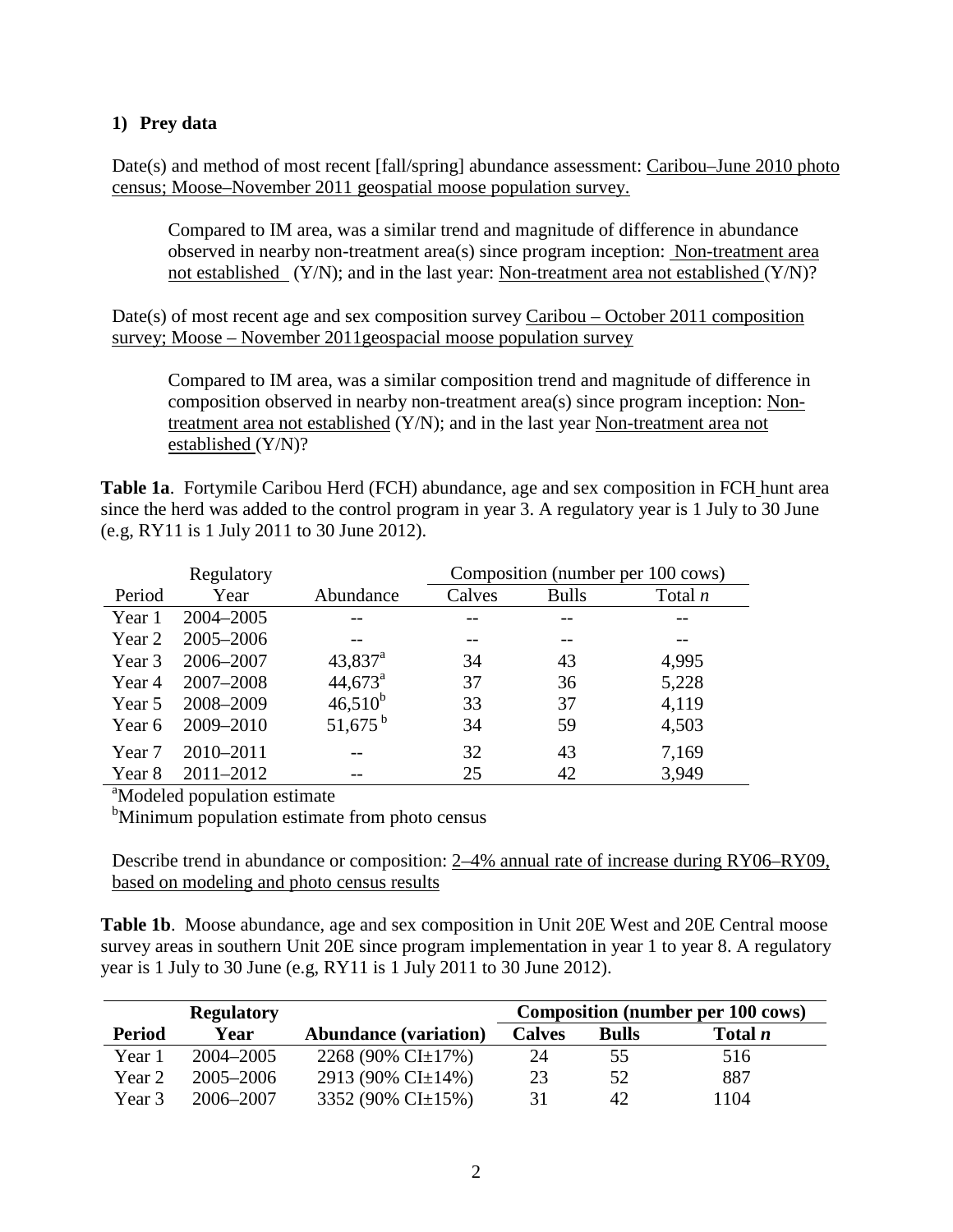## **1) Prey data**

Date(s) and method of most recent [fall/spring] abundance assessment: Caribou–June 2010 photo census; Moose–November 2011 geospatial moose population survey.

Compared to IM area, was a similar trend and magnitude of difference in abundance observed in nearby non-treatment area(s) since program inception: Non-treatment area not established (Y/N); and in the last year: Non-treatment area not established (Y/N)?

Date(s) of most recent age and sex composition survey Caribou – October 2011 composition survey; Moose – November 2011geospacial moose population survey

Compared to IM area, was a similar composition trend and magnitude of difference in composition observed in nearby non-treatment area(s) since program inception: Nontreatment area not established (Y/N); and in the last year Non-treatment area not established (Y/N)?

**Table 1a**. Fortymile Caribou Herd (FCH) abundance, age and sex composition in FCH hunt area since the herd was added to the control program in year 3. A regulatory year is 1 July to 30 June (e.g, RY11 is 1 July 2011 to 30 June 2012).

| Regulatory |                                          |                       |        |              | Composition (number per 100 cows) |  |  |  |  |
|------------|------------------------------------------|-----------------------|--------|--------------|-----------------------------------|--|--|--|--|
| Period     | Year                                     | Abundance             | Calves | <b>Bulls</b> | Total $n$                         |  |  |  |  |
| Year 1     | 2004-2005                                |                       |        |              |                                   |  |  |  |  |
| Year 2     | 2005-2006                                |                       |        |              |                                   |  |  |  |  |
| Year 3     | 2006-2007                                | $43,837$ <sup>a</sup> | 34     | 43           | 4,995                             |  |  |  |  |
| Year 4     | 2007-2008                                | $44,673^{\circ}$      | 37     | 36           | 5,228                             |  |  |  |  |
| Year 5     | 2008-2009                                | $46,510^{b}$          | 33     | 37           | 4,119                             |  |  |  |  |
| Year 6     | 2009-2010                                | $51,675^{\mathrm{b}}$ | 34     | 59           | 4,503                             |  |  |  |  |
| Year 7     | 2010-2011                                |                       | 32     | 43           | 7,169                             |  |  |  |  |
| Year 8     | 2011-2012                                |                       | 25     | 42           | 3,949                             |  |  |  |  |
|            | <sup>a</sup> Modeled population estimate |                       |        |              |                                   |  |  |  |  |

<sup>b</sup>Minimum population estimate from photo census

Describe trend in abundance or composition: 2–4% annual rate of increase during RY06–RY09, based on modeling and photo census results

**Table 1b**. Moose abundance, age and sex composition in Unit 20E West and 20E Central moose survey areas in southern Unit 20E since program implementation in year 1 to year 8. A regulatory year is 1 July to 30 June (e.g, RY11 is 1 July 2011 to 30 June 2012).

|               | <b>Regulatory</b> |                              | <b>Composition (number per 100 cows)</b> |              |                |  |
|---------------|-------------------|------------------------------|------------------------------------------|--------------|----------------|--|
| <b>Period</b> | Year              | <b>Abundance (variation)</b> | <b>Calves</b>                            | <b>Bulls</b> | Total <i>n</i> |  |
| Year 1        | 2004–2005         | 2268 (90% CI $\pm$ 17%)      | 24                                       | 55           | 516            |  |
| Year 2        | $2005 - 2006$     | 2913 (90% CI $\pm$ 14%)      | 23                                       | 52           | 887            |  |
| Year 3        | 2006–2007         | 3352 (90% CI $\pm$ 15%)      | 31                                       | 42           | 1104           |  |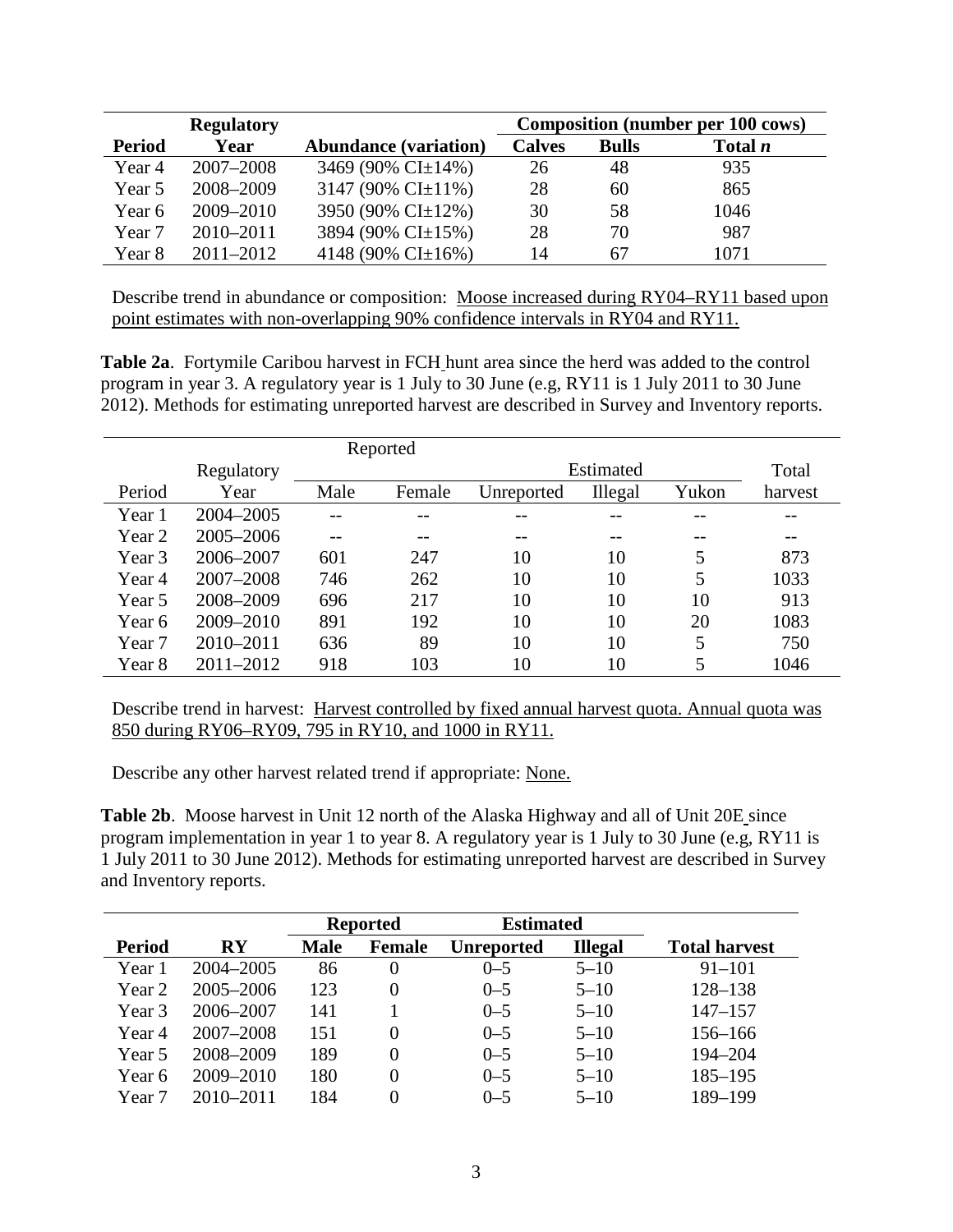|               | <b>Regulatory</b> |                              | <b>Composition (number per 100 cows)</b> |              |                |  |
|---------------|-------------------|------------------------------|------------------------------------------|--------------|----------------|--|
| <b>Period</b> | Year              | <b>Abundance (variation)</b> | <b>Calves</b>                            | <b>Bulls</b> | Total <i>n</i> |  |
| Year 4        | 2007-2008         | 3469 (90% CI±14%)            | 26                                       | 48           | 935            |  |
| Year 5        | 2008-2009         | 3147 (90% CI $\pm$ 11%)      | 28                                       | 60           | 865            |  |
| Year 6        | 2009-2010         | 3950 (90% CI±12%)            | 30                                       | 58           | 1046           |  |
| Year 7        | $2010 - 2011$     | 3894 (90% CI±15%)            | 28                                       | 70           | 987            |  |
| Year 8        | $2011 - 2012$     | 4148 (90% CI $\pm$ 16%)      | 14                                       | 67           | 1071           |  |

Describe trend in abundance or composition: Moose increased during RY04–RY11 based upon point estimates with non-overlapping 90% confidence intervals in RY04 and RY11.

**Table 2a**. Fortymile Caribou harvest in FCH hunt area since the herd was added to the control program in year 3. A regulatory year is 1 July to 30 June (e.g, RY11 is 1 July 2011 to 30 June 2012). Methods for estimating unreported harvest are described in Survey and Inventory reports.

| Reported |                         |      |        |            |         |       |         |  |
|----------|-------------------------|------|--------|------------|---------|-------|---------|--|
|          | Estimated<br>Regulatory |      |        |            |         |       |         |  |
| Period   | Year                    | Male | Female | Unreported | Illegal | Yukon | harvest |  |
| Year 1   | 2004-2005               | $ -$ | --     | --         | --      | --    | --      |  |
| Year 2   | 2005-2006               |      |        | --         |         | --    |         |  |
| Year 3   | 2006-2007               | 601  | 247    | 10         | 10      | 5     | 873     |  |
| Year 4   | 2007-2008               | 746  | 262    | 10         | 10      | 5     | 1033    |  |
| Year 5   | 2008-2009               | 696  | 217    | 10         | 10      | 10    | 913     |  |
| Year 6   | 2009-2010               | 891  | 192    | 10         | 10      | 20    | 1083    |  |
| Year 7   | 2010-2011               | 636  | 89     | 10         | 10      | 5     | 750     |  |
| Year 8   | $2011 - 2012$           | 918  | 103    | 10         | 10      | 5     | 1046    |  |

Describe trend in harvest: Harvest controlled by fixed annual harvest quota. Annual quota was 850 during RY06–RY09, 795 in RY10, and 1000 in RY11.

Describe any other harvest related trend if appropriate: None.

**Table 2b**. Moose harvest in Unit 12 north of the Alaska Highway and all of Unit 20E since program implementation in year 1 to year 8. A regulatory year is 1 July to 30 June (e.g, RY11 is 1 July 2011 to 30 June 2012). Methods for estimating unreported harvest are described in Survey and Inventory reports.

|               |                        | <b>Reported</b> |               | <b>Estimated</b>  |                |                      |
|---------------|------------------------|-----------------|---------------|-------------------|----------------|----------------------|
| <b>Period</b> | $\mathbf{R}\mathbf{Y}$ | <b>Male</b>     | <b>Female</b> | <b>Unreported</b> | <b>Illegal</b> | <b>Total harvest</b> |
| Year 1        | 2004-2005              | 86              | 0             | $0 - 5$           | $5 - 10$       | $91 - 101$           |
| Year 2        | 2005-2006              | 123             | 0             | $0 - 5$           | $5 - 10$       | $128 - 138$          |
| Year 3        | 2006-2007              | 141             |               | $0 - 5$           | $5 - 10$       | $147 - 157$          |
| Year 4        | $2007 - 2008$          | 151             | $\Omega$      | $0 - 5$           | $5 - 10$       | 156-166              |
| Year 5        | 2008-2009              | 189             | 0             | $0 - 5$           | $5 - 10$       | 194-204              |
| Year 6        | 2009-2010              | 180             |               | $0 - 5$           | $5 - 10$       | $185 - 195$          |
| Year 7        | $2010 - 2011$          | 184             |               | $0 - 5$           | $5 - 10$       | 189-199              |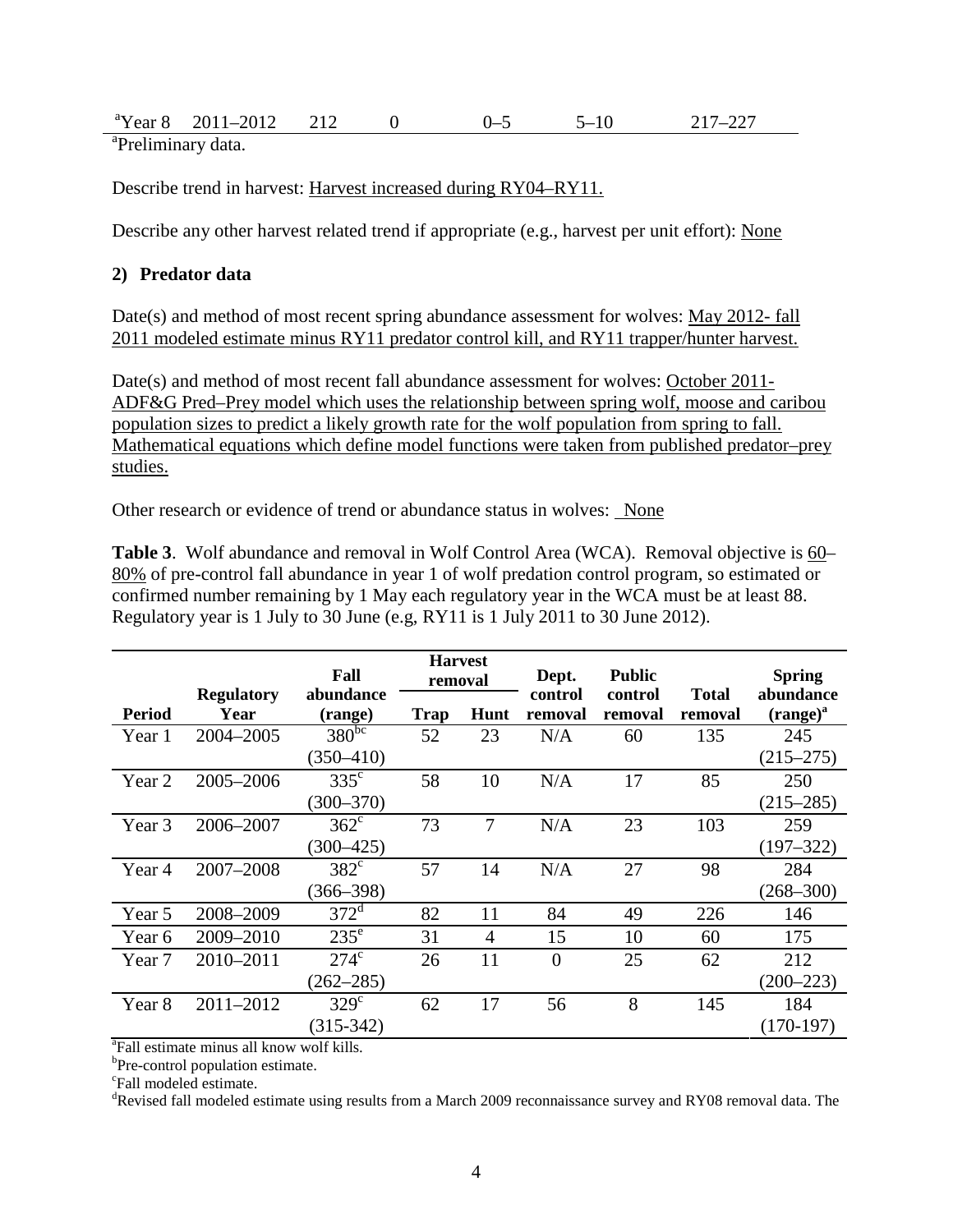| <sup>a</sup> Year 8     | $-2012$<br>2011 |  |  |  |
|-------------------------|-----------------|--|--|--|
| $a_{\text{D}}$ $\alpha$ |                 |  |  |  |

<sup>a</sup>Preliminary data.

Describe trend in harvest: Harvest increased during RY04–RY11.

Describe any other harvest related trend if appropriate (e.g., harvest per unit effort): None

## **2) Predator data**

Date(s) and method of most recent spring abundance assessment for wolves: May 2012- fall 2011 modeled estimate minus RY11 predator control kill, and RY11 trapper/hunter harvest.

Date(s) and method of most recent fall abundance assessment for wolves: October 2011-ADF&G Pred–Prey model which uses the relationship between spring wolf, moose and caribou population sizes to predict a likely growth rate for the wolf population from spring to fall. Mathematical equations which define model functions were taken from published predator–prey studies.

Other research or evidence of trend or abundance status in wolves: None

**Table 3**. Wolf abundance and removal in Wolf Control Area (WCA). Removal objective is 60– 80% of pre-control fall abundance in year 1 of wolf predation control program, so estimated or confirmed number remaining by 1 May each regulatory year in the WCA must be at least 88. Regulatory year is 1 July to 30 June (e.g, RY11 is 1 July 2011 to 30 June 2012).

|                   |                           | Fall                 | <b>Harvest</b><br>removal |      |                    |                    |                         |                            | Dept. | <b>Public</b> |  | <b>Spring</b> |
|-------------------|---------------------------|----------------------|---------------------------|------|--------------------|--------------------|-------------------------|----------------------------|-------|---------------|--|---------------|
| <b>Period</b>     | <b>Regulatory</b><br>Year | abundance<br>(range) | <b>Trap</b>               | Hunt | control<br>removal | control<br>removal | <b>Total</b><br>removal | abundance<br>$(range)^{a}$ |       |               |  |               |
| Year 1            | 2004-2005                 | $380^{bc}$           | 52                        | 23   | N/A                | 60                 | 135                     | 245                        |       |               |  |               |
|                   |                           | $(350 - 410)$        |                           |      |                    |                    |                         | $(215 - 275)$              |       |               |  |               |
| Year 2            | 2005-2006                 | $335^{\circ}$        | 58                        | 10   | N/A                | 17                 | 85                      | 250                        |       |               |  |               |
|                   |                           | $(300 - 370)$        |                           |      |                    |                    |                         | $(215 - 285)$              |       |               |  |               |
| Year <sub>3</sub> | 2006-2007                 | $362^{\circ}$        | 73                        | 7    | N/A                | 23                 | 103                     | 259                        |       |               |  |               |
|                   |                           | $(300 - 425)$        |                           |      |                    |                    |                         | $(197 - 322)$              |       |               |  |               |
| Year 4            | 2007-2008                 | $382^{\circ}$        | 57                        | 14   | N/A                | 27                 | 98                      | 284                        |       |               |  |               |
|                   |                           | $(366 - 398)$        |                           |      |                    |                    |                         | $(268 - 300)$              |       |               |  |               |
| Year 5            | 2008-2009                 | $372^d$              | 82                        | 11   | 84                 | 49                 | 226                     | 146                        |       |               |  |               |
| Year 6            | 2009-2010                 | $235^{\circ}$        | 31                        | 4    | 15                 | 10                 | 60                      | 175                        |       |               |  |               |
| Year 7            | 2010-2011                 | $274^{\circ}$        | 26                        | 11   | $\overline{0}$     | 25                 | 62                      | 212                        |       |               |  |               |
|                   |                           | $(262 - 285)$        |                           |      |                    |                    |                         | $(200 - 223)$              |       |               |  |               |
| Year 8            | 2011-2012                 | $329^\circ$          | 62                        | 17   | 56                 | 8                  | 145                     | 184                        |       |               |  |               |
|                   |                           | $(315-342)$          |                           |      |                    |                    |                         | $(170-197)$                |       |               |  |               |

a Fall estimate minus all know wolf kills.

 ${}^{b}$ Pre-control population estimate.

Fall modeled estimate.

<sup>d</sup>Revised fall modeled estimate using results from a March 2009 reconnaissance survey and RY08 removal data. The